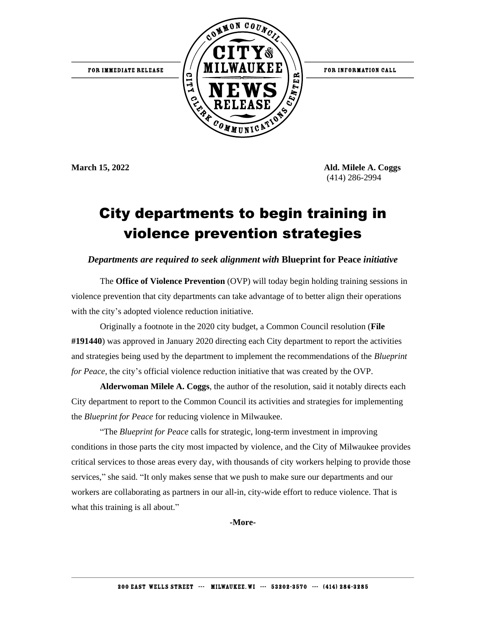FOR INFORMATION CALL





**March 15, 2022 Ald. Milele A. Coggs** (414) 286-2994

## City departments to begin training in violence prevention strategies

## *Departments are required to seek alignment with* **Blueprint for Peace** *initiative*

The **Office of Violence Prevention** (OVP) will today begin holding training sessions in violence prevention that city departments can take advantage of to better align their operations with the city's adopted violence reduction initiative.

Originally a footnote in the 2020 city budget, a Common Council resolution (**File #191440**) was approved in January 2020 directing each City department to report the activities and strategies being used by the department to implement the recommendations of the *Blueprint for Peace*, the city's official violence reduction initiative that was created by the OVP.

**Alderwoman Milele A. Coggs**, the author of the resolution, said it notably directs each City department to report to the Common Council its activities and strategies for implementing the *Blueprint for Peace* for reducing violence in Milwaukee.

"The *Blueprint for Peace* calls for strategic, long-term investment in improving conditions in those parts the city most impacted by violence, and the City of Milwaukee provides critical services to those areas every day, with thousands of city workers helping to provide those services," she said. "It only makes sense that we push to make sure our departments and our workers are collaborating as partners in our all-in, city-wide effort to reduce violence. That is what this training is all about."

**-More-**